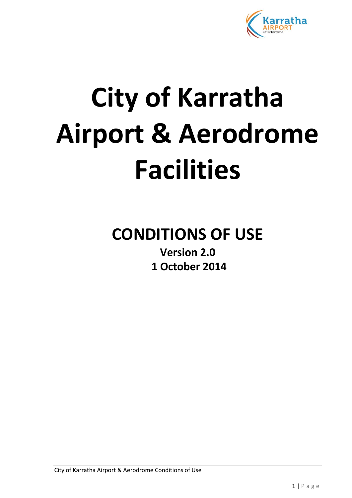

# **City of Karratha Airport & Aerodrome Facilities**

# **CONDITIONS OF USE**

**Version 2.0 1 October 2014**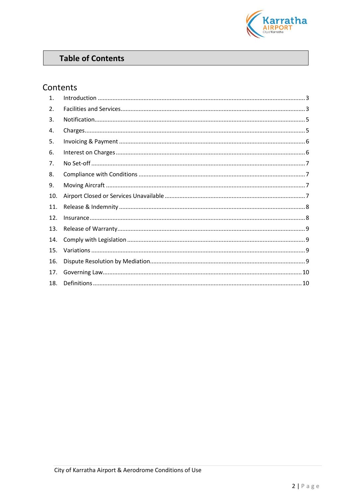

# **Table of Contents**

# Contents

| $\mathbf 1$ . |  |
|---------------|--|
| 2.            |  |
| 3.            |  |
| 4.            |  |
| 5.            |  |
| 6.            |  |
| 7.            |  |
| 8.            |  |
| 9.            |  |
| 10.           |  |
| 11.           |  |
| 12.           |  |
| 13.           |  |
| 14.           |  |
| 15.           |  |
| 16.           |  |
| 17.           |  |
| 18.           |  |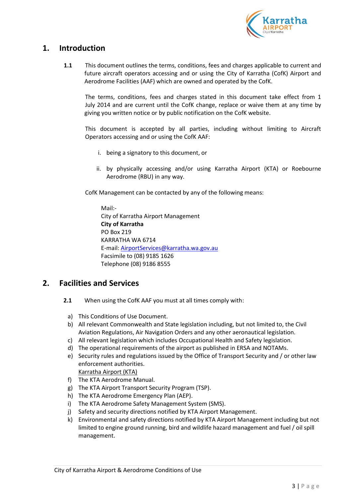

# <span id="page-2-0"></span>**1. Introduction**

**1.1** This document outlines the terms, conditions, fees and charges applicable to current and future aircraft operators accessing and or using the City of Karratha (CofK) Airport and Aerodrome Facilities (AAF) which are owned and operated by the CofK.

The terms, conditions, fees and charges stated in this document take effect from 1 July 2014 and are current until the CofK change, replace or waive them at any time by giving you written notice or by public notification on the CofK website.

This document is accepted by all parties, including without limiting to Aircraft Operators accessing and or using the CofK AAF:

- i. being a signatory to this document, or
- ii. by physically accessing and/or using Karratha Airport (KTA) or Roebourne Aerodrome (RBU) in any way.

CofK Management can be contacted by any of the following means:

Mail:- City of Karratha Airport Management **City of Karratha** PO Box 219 KARRATHA WA 6714 E-mail: [AirportServices@karratha.wa.gov.au](mailto:AirportServices@karratha.wa.gov.au) Facsimile to (08) 9185 1626 Telephone (08) 9186 8555

### <span id="page-2-1"></span>**2. Facilities and Services**

- **2.1** When using the CofK AAF you must at all times comply with:
	- a) This Conditions of Use Document.
	- b) All relevant Commonwealth and State legislation including, but not limited to, the Civil Aviation Regulations, Air Navigation Orders and any other aeronautical legislation.
	- c) All relevant legislation which includes Occupational Health and Safety legislation.
	- d) The operational requirements of the airport as published in ERSA and NOTAMs.
	- e) Security rules and regulations issued by the Office of Transport Security and / or other law enforcement authorities.
		- Karratha Airport (KTA)
	- f) The KTA Aerodrome Manual.
	- g) The KTA Airport Transport Security Program (TSP).
	- h) The KTA Aerodrome Emergency Plan (AEP).
	- i) The KTA Aerodrome Safety Management System (SMS).
	- j) Safety and security directions notified by KTA Airport Management.
	- k) Environmental and safety directions notified by KTA Airport Management including but not limited to engine ground running, bird and wildlife hazard management and fuel / oil spill management.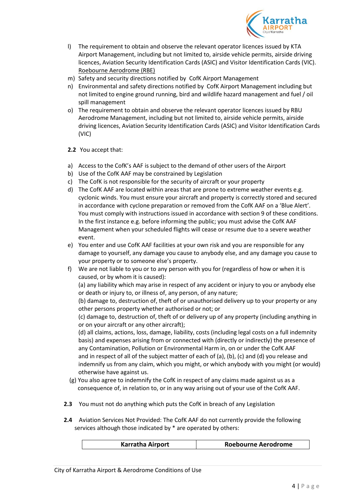

- l) The requirement to obtain and observe the relevant operator licences issued by KTA Airport Management, including but not limited to, airside vehicle permits, airside driving licences, Aviation Security Identification Cards (ASIC) and Visitor Identification Cards (VIC). Roebourne Aerodrome (RBE)
- m) Safety and security directions notified by CofK Airport Management
- n) Environmental and safety directions notified by CofK Airport Management including but not limited to engine ground running, bird and wildlife hazard management and fuel / oil spill management
- o) The requirement to obtain and observe the relevant operator licences issued by RBU Aerodrome Management, including but not limited to, airside vehicle permits, airside driving licences, Aviation Security Identification Cards (ASIC) and Visitor Identification Cards (VIC)
- **2.2** You accept that:
- a) Access to the CofK's AAF is subject to the demand of other users of the Airport
- b) Use of the CofK AAF may be constrained by Legislation
- c) The CofK is not responsible for the security of aircraft or your property
- d) The CofK AAF are located within areas that are prone to extreme weather events e.g. cyclonic winds. You must ensure your aircraft and property is correctly stored and secured in accordance with cyclone preparation or removed from the CofK AAF on a 'Blue Alert'. You must comply with instructions issued in accordance with section 9 of these conditions. In the first instance e.g. before informing the public; you must advise the CofK AAF Management when your scheduled flights will cease or resume due to a severe weather event.
- e) You enter and use CofK AAF facilities at your own risk and you are responsible for any damage to yourself, any damage you cause to anybody else, and any damage you cause to your property or to someone else's property.
- f) We are not liable to you or to any person with you for (regardless of how or when it is caused, or by whom it is caused):

(a) any liability which may arise in respect of any accident or injury to you or anybody else or death or injury to, or illness of, any person, of any nature;

(b) damage to, destruction of, theft of or unauthorised delivery up to your property or any other persons property whether authorised or not; or

(c) damage to, destruction of, theft of or delivery up of any property (including anything in or on your aircraft or any other aircraft);

(d) all claims, actions, loss, damage, liability, costs (including legal costs on a full indemnity basis) and expenses arising from or connected with (directly or indirectly) the presence of any Contamination, Pollution or Environmental Harm in, on or under the CofK AAF and in respect of all of the subject matter of each of (a), (b), (c) and (d) you release and indemnify us from any claim, which you might, or which anybody with you might (or would) otherwise have against us.

- (g) You also agree to indemnify the CofK in respect of any claims made against us as a consequence of, in relation to, or in any way arising out of your use of the CofK AAF.
- **2.3** You must not do anything which puts the CofK in breach of any Legislation
- **2.4** Aviation Services Not Provided: The CofK AAF do not currently provide the following services although those indicated by \* are operated by others:

| <b>Karratha Airport</b> | <b>Roebourne Aerodrome</b> |
|-------------------------|----------------------------|
|                         |                            |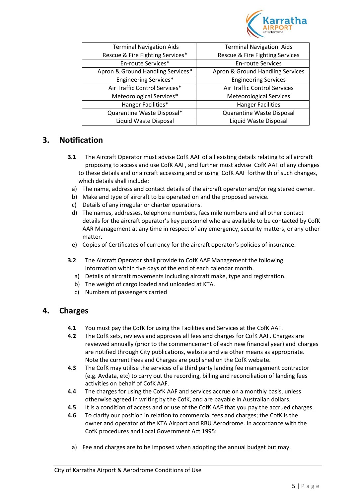

| <b>Terminal Navigation Aids</b>   | <b>Terminal Navigation Aids</b>     |
|-----------------------------------|-------------------------------------|
| Rescue & Fire Fighting Services*  | Rescue & Fire Fighting Services     |
| En-route Services*                | <b>En-route Services</b>            |
| Apron & Ground Handling Services* | Apron & Ground Handling Services    |
| <b>Engineering Services*</b>      | <b>Engineering Services</b>         |
| Air Traffic Control Services*     | <b>Air Traffic Control Services</b> |
| Meteorological Services*          | <b>Meteorological Services</b>      |
| Hanger Facilities*                | <b>Hanger Facilities</b>            |
| Quarantine Waste Disposal*        | Quarantine Waste Disposal           |
| Liquid Waste Disposal             | Liquid Waste Disposal               |
|                                   |                                     |

# <span id="page-4-0"></span>**3. Notification**

- **3.1** The Aircraft Operator must advise CofK AAF of all existing details relating to all aircraft proposing to access and use CofK AAF, and further must advise CofK AAF of any changes to these details and or aircraft accessing and or using CofK AAF forthwith of such changes, which details shall include:
	- a) The name, address and contact details of the aircraft operator and/or registered owner.
	- b) Make and type of aircraft to be operated on and the proposed service.
	- c) Details of any irregular or charter operations.
	- d) The names, addresses, telephone numbers, facsimile numbers and all other contact details for the aircraft operator's key personnel who are available to be contacted by CofK AAR Management at any time in respect of any emergency, security matters, or any other matter.
	- e) Copies of Certificates of currency for the aircraft operator's policies of insurance.
- **3.2** The Aircraft Operator shall provide to CofK AAF Management the following information within five days of the end of each calendar month.
	- a) Details of aircraft movements including aircraft make, type and registration.
	- b) The weight of cargo loaded and unloaded at KTA.
	- c) Numbers of passengers carried

#### <span id="page-4-1"></span>**4. Charges**

- **4.1** You must pay the CofK for using the Facilities and Services at the CofK AAF.
- **4.2** The CofK sets, reviews and approves all fees and charges for CofK AAF. Charges are reviewed annually (prior to the commencement of each new financial year) and charges are notified through City publications, website and via other means as appropriate. Note the current Fees and Charges are published on the CofK website.
- **4.3** The CofK may utilise the services of a third party landing fee management contractor (e.g. Avdata, etc) to carry out the recording, billing and reconciliation of landing fees activities on behalf of CofK AAF.
- **4.4** The charges for using the CofK AAF and services accrue on a monthly basis, unless otherwise agreed in writing by the CofK, and are payable in Australian dollars.
- **4.5** It is a condition of access and or use of the CofK AAF that you pay the accrued charges.
- **4.6** To clarify our position in relation to commercial fees and charges; the CofK is the owner and operator of the KTA Airport and RBU Aerodrome. In accordance with the CofK procedures and Local Government Act 1995:
	- a) Fee and charges are to be imposed when adopting the annual budget but may.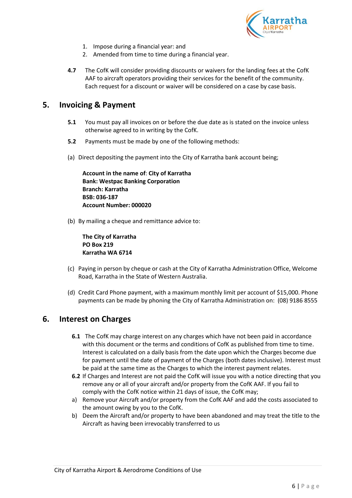

- 1. Impose during a financial year: and
- 2. Amended from time to time during a financial year.
- **4.7** The CofK will consider providing discounts or waivers for the landing fees at the CofK AAF to aircraft operators providing their services for the benefit of the community. Each request for a discount or waiver will be considered on a case by case basis.

# <span id="page-5-0"></span>**5. Invoicing & Payment**

- **5.1** You must pay all invoices on or before the due date as is stated on the invoice unless otherwise agreed to in writing by the CofK.
- **5.2** Payments must be made by one of the following methods:
- (a) Direct depositing the payment into the City of Karratha bank account being;

**Account in the name of**: **City of Karratha Bank: Westpac Banking Corporation Branch: Karratha BSB: 036-187 Account Number: 000020**

(b) By mailing a cheque and remittance advice to:

**The City of Karratha PO Box 219 Karratha WA 6714**

- (c) Paying in person by cheque or cash at the City of Karratha Administration Office, Welcome Road, Karratha in the State of Western Australia.
- (d) Credit Card Phone payment, with a maximum monthly limit per account of \$15,000. Phone payments can be made by phoning the City of Karratha Administration on: (08) 9186 8555

### <span id="page-5-1"></span>**6. Interest on Charges**

- **6.1** The CofK may charge interest on any charges which have not been paid in accordance with this document or the terms and conditions of CofK as published from time to time. Interest is calculated on a daily basis from the date upon which the Charges become due for payment until the date of payment of the Charges (both dates inclusive). Interest must be paid at the same time as the Charges to which the interest payment relates.
- **6.2** If Charges and Interest are not paid the CofK will issue you with a notice directing that you remove any or all of your aircraft and/or property from the CofK AAF. If you fail to comply with the CofK notice within 21 days of issue, the CofK may;
- a) Remove your Aircraft and/or property from the CofK AAF and add the costs associated to the amount owing by you to the CofK.
- b) Deem the Aircraft and/or property to have been abandoned and may treat the title to the Aircraft as having been irrevocably transferred to us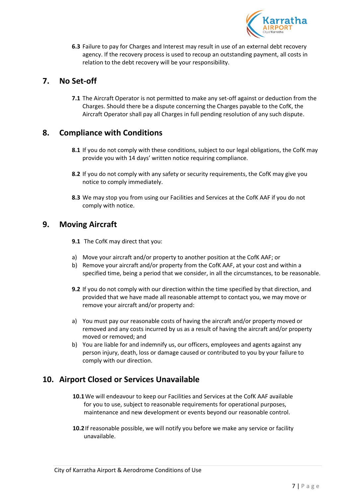

**6.3** Failure to pay for Charges and Interest may result in use of an external debt recovery agency. If the recovery process is used to recoup an outstanding payment, all costs in relation to the debt recovery will be your responsibility.

# <span id="page-6-0"></span>**7. No Set-off**

**7.1** The Aircraft Operator is not permitted to make any set-off against or deduction from the Charges. Should there be a dispute concerning the Charges payable to the CofK, the Aircraft Operator shall pay all Charges in full pending resolution of any such dispute.

# <span id="page-6-1"></span>**8. Compliance with Conditions**

- **8.1** If you do not comply with these conditions, subject to our legal obligations, the CofK may provide you with 14 days' written notice requiring compliance.
- **8.2** If you do not comply with any safety or security requirements, the CofK may give you notice to comply immediately.
- **8.3** We may stop you from using our Facilities and Services at the CofK AAF if you do not comply with notice.

### <span id="page-6-2"></span>**9. Moving Aircraft**

**9.1** The CofK may direct that you:

- a) Move your aircraft and/or property to another position at the CofK AAF; or
- b) Remove your aircraft and/or property from the CofK AAF, at your cost and within a specified time, being a period that we consider, in all the circumstances, to be reasonable.
- **9.2** If you do not comply with our direction within the time specified by that direction, and provided that we have made all reasonable attempt to contact you, we may move or remove your aircraft and/or property and:
- a) You must pay our reasonable costs of having the aircraft and/or property moved or removed and any costs incurred by us as a result of having the aircraft and/or property moved or removed; and
- b) You are liable for and indemnify us, our officers, employees and agents against any person injury, death, loss or damage caused or contributed to you by your failure to comply with our direction.

# <span id="page-6-3"></span>**10. Airport Closed or Services Unavailable**

- **10.1**We will endeavour to keep our Facilities and Services at the CofK AAF available for you to use, subject to reasonable requirements for operational purposes, maintenance and new development or events beyond our reasonable control.
- **10.2**If reasonable possible, we will notify you before we make any service or facility unavailable.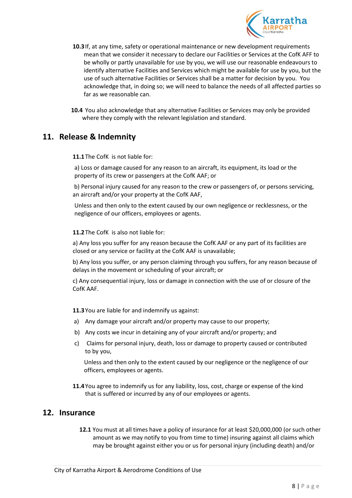

- **10.3**If, at any time, safety or operational maintenance or new development requirements mean that we consider it necessary to declare our Facilities or Services at the CofK AFF to be wholly or partly unavailable for use by you, we will use our reasonable endeavours to identify alternative Facilities and Services which might be available for use by you, but the use of such alternative Facilities or Services shall be a matter for decision by you. You acknowledge that, in doing so; we will need to balance the needs of all affected parties so far as we reasonable can.
- **10.4** You also acknowledge that any alternative Facilities or Services may only be provided where they comply with the relevant legislation and standard.

#### <span id="page-7-0"></span>**11. Release & Indemnity**

**11.1**The CofK is not liable for:

a) Loss or damage caused for any reason to an aircraft, its equipment, its load or the property of its crew or passengers at the CofK AAF; or

b) Personal injury caused for any reason to the crew or passengers of, or persons servicing, an aircraft and/or your property at the CofK AAF,

Unless and then only to the extent caused by our own negligence or recklessness, or the negligence of our officers, employees or agents.

#### **11.2**The CofK is also not liable for:

a) Any loss you suffer for any reason because the CofK AAF or any part of its facilities are closed or any service or facility at the CofK AAF is unavailable;

b) Any loss you suffer, or any person claiming through you suffers, for any reason because of delays in the movement or scheduling of your aircraft; or

c) Any consequential injury, loss or damage in connection with the use of or closure of the CofK AAF.

**11.3**You are liable for and indemnify us against:

- a) Any damage your aircraft and/or property may cause to our property;
- b) Any costs we incur in detaining any of your aircraft and/or property; and
- c) Claims for personal injury, death, loss or damage to property caused or contributed to by you,

Unless and then only to the extent caused by our negligence or the negligence of our officers, employees or agents.

**11.4**You agree to indemnify us for any liability, loss, cost, charge or expense of the kind that is suffered or incurred by any of our employees or agents.

#### <span id="page-7-1"></span>**12. Insurance**

**12.1** You must at all times have a policy of insurance for at least \$20,000,000 (or such other amount as we may notify to you from time to time) insuring against all claims which may be brought against either you or us for personal injury (including death) and/or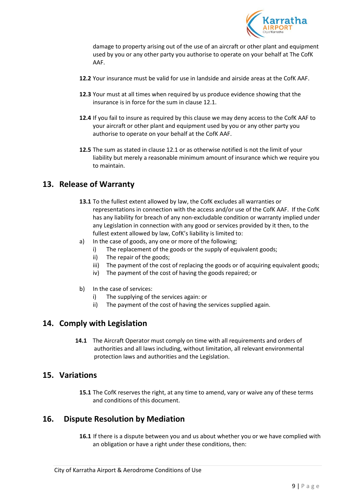

damage to property arising out of the use of an aircraft or other plant and equipment used by you or any other party you authorise to operate on your behalf at The CofK AAF.

- **12.2** Your insurance must be valid for use in landside and airside areas at the CofK AAF.
- **12.3** Your must at all times when required by us produce evidence showing that the insurance is in force for the sum in clause 12.1.
- **12.4** If you fail to insure as required by this clause we may deny access to the CofK AAF to your aircraft or other plant and equipment used by you or any other party you authorise to operate on your behalf at the CofK AAF.
- **12.5** The sum as stated in clause 12.1 or as otherwise notified is not the limit of your liability but merely a reasonable minimum amount of insurance which we require you to maintain.

### <span id="page-8-0"></span>**13. Release of Warranty**

- **13.1** To the fullest extent allowed by law, the CofK excludes all warranties or representations in connection with the access and/or use of the CofK AAF. If the CofK has any liability for breach of any non-excludable condition or warranty implied under any Legislation in connection with any good or services provided by it then, to the fullest extent allowed by law, CofK's liability is limited to:
- a) In the case of goods, any one or more of the following;
	- i) The replacement of the goods or the supply of equivalent goods;
	- ii) The repair of the goods;
	- iii) The payment of the cost of replacing the goods or of acquiring equivalent goods;
	- iv) The payment of the cost of having the goods repaired; or
- b) In the case of services:
	- i) The supplying of the services again: or
	- ii) The payment of the cost of having the services supplied again.

#### <span id="page-8-1"></span>**14. Comply with Legislation**

 **14.1** The Aircraft Operator must comply on time with all requirements and orders of authorities and all laws including, without limitation, all relevant environmental protection laws and authorities and the Legislation.

#### <span id="page-8-2"></span>**15. Variations**

**15.1** The CofK reserves the right, at any time to amend, vary or waive any of these terms and conditions of this document.

#### <span id="page-8-3"></span>**16. Dispute Resolution by Mediation**

**16.1** If there is a dispute between you and us about whether you or we have complied with an obligation or have a right under these conditions, then: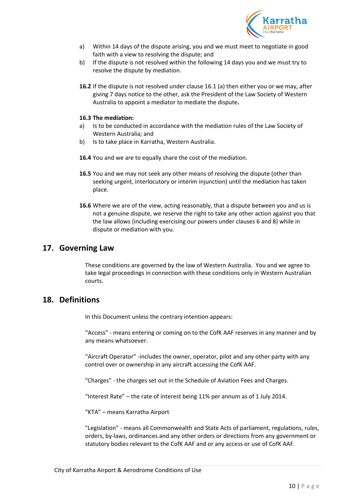

- a) Within 14 days of the dispute arising, you and we must meet to negotiate in good faith with a view to resolving the dispute; and
- b) If the dispute is not resolved within the following 14 days you and we must try to resolve the dispute by mediation.
- **16.2** If the dispute is not resolved under clause 16.1 (a) then either you or we may, after giving 7 days notice to the other, ask the President of the Law Society of Western Australia to appoint a mediator to mediate the dispute**.**

#### **16.3 The mediation:**

- a) Is to be conducted in accordance with the mediation rules of the Law Society of Western Australia; and
- b) Is to take place in Karratha, Western Australia.
- **16.4** You and we are to equally share the cost of the mediation.
- **16.5** You and we may not seek any other means of resolving the dispute (other than seeking urgent, interlocutory or interim injunction) until the mediation has taken place.
- **16.6** Where we are of the view, acting reasonably, that a dispute between you and us is not a genuine dispute, we reserve the right to take any other action against you that the law allows (including exercising our powers under clauses 6 and 8) while in dispute or mediation with you.

#### <span id="page-9-0"></span>**17. Governing Law**

These conditions are governed by the law of Western Australia. You and we agree to take legal proceedings in connection with these conditions only in Western Australian courts.

#### <span id="page-9-1"></span>**18. Definitions**

In this Document unless the contrary intention appears:

"Access" - means entering or coming on to the CofK AAF reserves in any manner and by any means whatsoever.

"Aircraft Operator" -includes the owner, operator, pilot and any other party with any control over or ownership in any aircraft accessing the CofK AAF.

"Charges" - the charges set out in the Schedule of Aviation Fees and Charges.

"Interest Rate" – the rate of interest being 11% per annum as of 1 July 2014.

"KTA" – means Karratha Airport

"Legislation" - means all Commonwealth and State Acts of parliament, regulations, rules, orders, by-laws, ordinances and any other orders or directions from any government or statutory bodies relevant to the CofK AAF and or any access or use of CofK AAF.